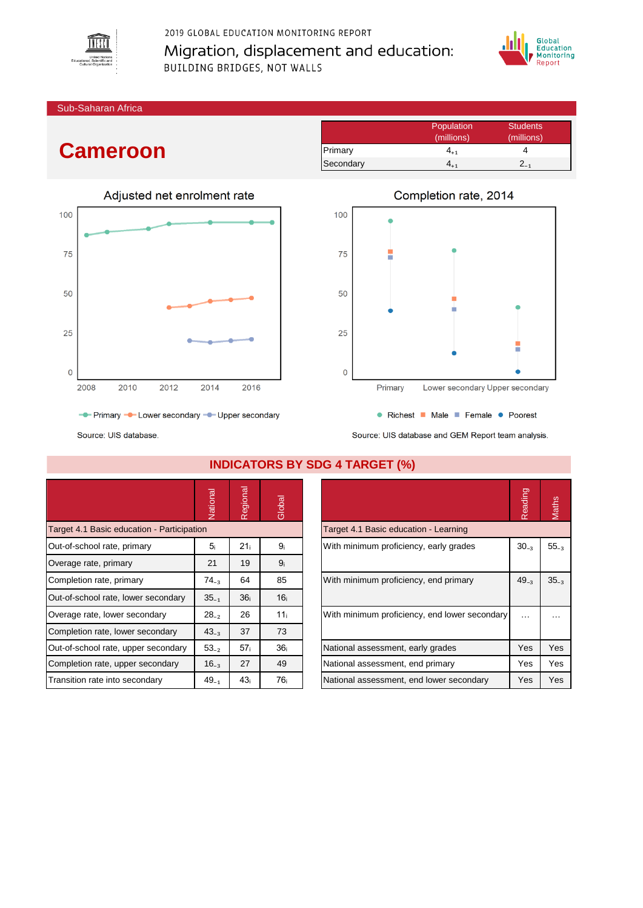

2019 GLOBAL EDUCATION MONITORING REPORT Migration, displacement and education: **BUILDING BRIDGES, NOT WALLS** 



(millions) (millions)

Sub-Saharan Africa

## **Cameroon**



- Primary - Lower secondary - Upper secondary

Source: UIS database.

|                                            | Vational       | Regional        | Global          |                                               | Reading  | Maths           |
|--------------------------------------------|----------------|-----------------|-----------------|-----------------------------------------------|----------|-----------------|
| Target 4.1 Basic education - Participation |                |                 |                 | Target 4.1 Basic education - Learning         |          |                 |
| Out-of-school rate, primary                | 5 <sub>i</sub> | 21 <sub>i</sub> | 9 <sub>i</sub>  | With minimum proficiency, early grades        |          | 55 <sub>z</sub> |
| Overage rate, primary                      | 21             | 19              | 9 <sub>i</sub>  |                                               |          |                 |
| Completion rate, primary                   | $74_{-3}$      | 64              | 85              | With minimum proficiency, end primary         |          | 35 <sub>z</sub> |
| Out-of-school rate, lower secondary        | $35_{-1}$      | 36 <sub>i</sub> | 16 <sub>i</sub> |                                               |          |                 |
| Overage rate, lower secondary              | $28_{-2}$      | 26              | 11 <sub>i</sub> | With minimum proficiency, end lower secondary | $\cdots$ |                 |
| Completion rate, lower secondary           | $43_{-3}$      | 37              | 73              |                                               |          |                 |
| Out-of-school rate, upper secondary        | $53_{-2}$      | 57 <sub>i</sub> | 36 <sub>i</sub> | National assessment, early grades             | Yes      | Yes             |
| Completion rate, upper secondary           | $16_{-3}$      | 27              | 49              | National assessment, end primary              | Yes      | Yes             |
| Transition rate into secondary             | $49_{-1}$      | 43 <sub>i</sub> | 76 i            | National assessment, end lower secondary      | Yes      | Yes             |

### **INDICATORS BY SD**

| $\sim$ . Order and all the set of $\sim$ . The set of $\sim$ $\sim$ $\sim$ |           |              |
|----------------------------------------------------------------------------|-----------|--------------|
| G 4 TARGET (%)                                                             |           |              |
|                                                                            | Reading   | <b>Aaths</b> |
| Target 4.1 Basic education - Learning                                      |           |              |
| With minimum proficiency, early grades                                     | $30_{-3}$ | $55_{-3}$    |
| With minimum proficiency, end primary                                      | $49_{-3}$ | $35_{-3}$    |
| With minimum proficiency, end lower secondary                              |           |              |
| National assessment, early grades                                          | Yes       | Yes          |
| National assessment, end primary                                           | Yes       | Yes          |
| National assessment, end lower secondary                                   | Yes       | Yes          |

# Completion rate, 2014

Primary 4<sub>+1</sub> 4 Secondary  $4_{+1}$  2 $_{-1}$ 

Population Students<br>
(millions) (millions)



• Richest • Male • Female • Poorest

Source: UIS database and GFM Report team analysis